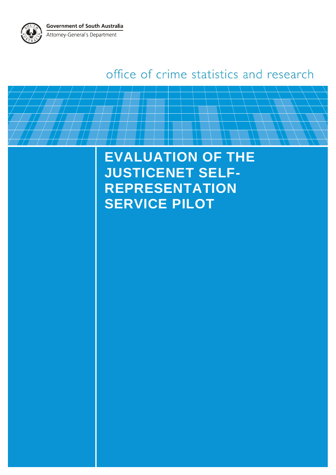**Government of South Australia** Attorney-General's Department



**EVALUATION OF THE JUSTICENET SELF-REPRESENTATION SERVICE PILOT**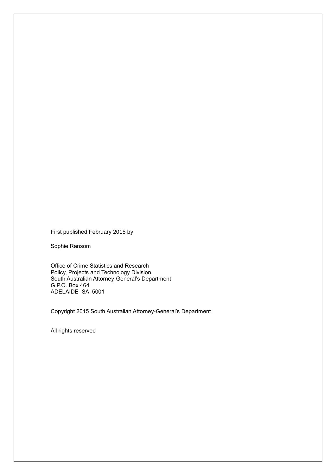First published February 2015 by

Sophie Ransom

Office of Crime Statistics and Research Policy, Projects and Technology Division South Australian Attorney-General's Department G.P.O. Box 464 ADELAIDE SA 5001

Copyright 2015 South Australian Attorney-General's Department

All rights reserved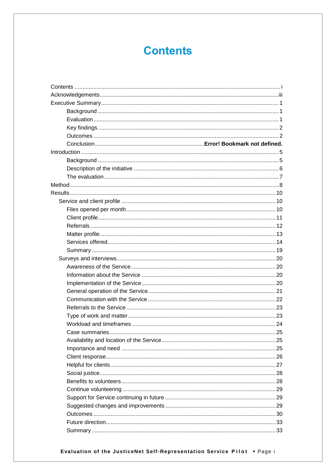# **Contents**

<span id="page-2-0"></span>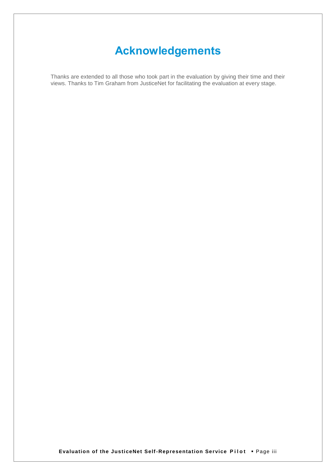# **Acknowledgements**

<span id="page-4-0"></span>Thanks are extended to all those who took part in the evaluation by giving their time and their views. Thanks to Tim Graham from JusticeNet for facilitating the evaluation at every stage.

**Evaluation of the JusticeNet Self-Representation Service Pilot . Page iii**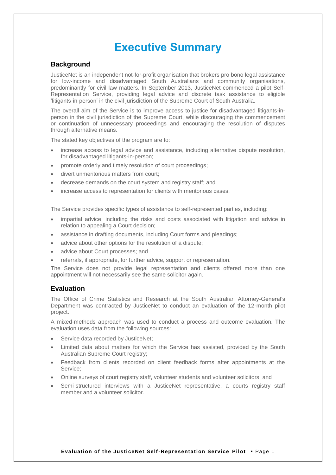## **Executive Summary**

## <span id="page-5-1"></span><span id="page-5-0"></span>**Background**

JusticeNet is an independent not-for-profit organisation that brokers pro bono legal assistance for low-income and disadvantaged South Australians and community organisations, predominantly for civil law matters. In September 2013, JusticeNet commenced a pilot Self-Representation Service, providing legal advice and discrete task assistance to eligible 'litigants-in-person' in the civil jurisdiction of the Supreme Court of South Australia.

The overall aim of the Service is to improve access to justice for disadvantaged litigants-inperson in the civil jurisdiction of the Supreme Court, while discouraging the commencement or continuation of unnecessary proceedings and encouraging the resolution of disputes through alternative means.

The stated key objectives of the program are to:

- increase access to legal advice and assistance, including alternative dispute resolution, for disadvantaged litigants-in-person;
- promote orderly and timely resolution of court proceedings;
- divert unmeritorious matters from court;
- decrease demands on the court system and registry staff; and
- increase access to representation for clients with meritorious cases.

The Service provides specific types of assistance to self-represented parties, including:

- impartial advice, including the risks and costs associated with litigation and advice in relation to appealing a Court decision;
- assistance in drafting documents, including Court forms and pleadings;
- advice about other options for the resolution of a dispute;
- advice about Court processes; and
- referrals, if appropriate, for further advice, support or representation.

The Service does not provide legal representation and clients offered more than one appointment will not necessarily see the same solicitor again.

## <span id="page-5-2"></span>**Evaluation**

The Office of Crime Statistics and Research at the South Australian Attorney-General's Department was contracted by JusticeNet to conduct an evaluation of the 12-month pilot project.

A mixed-methods approach was used to conduct a process and outcome evaluation. The evaluation uses data from the following sources:

- Service data recorded by JusticeNet;
- Limited data about matters for which the Service has assisted, provided by the South Australian Supreme Court registry;
- Feedback from clients recorded on client feedback forms after appointments at the Service;
- Online surveys of court registry staff, volunteer students and volunteer solicitors; and
- Semi-structured interviews with a JusticeNet representative, a courts registry staff member and a volunteer solicitor.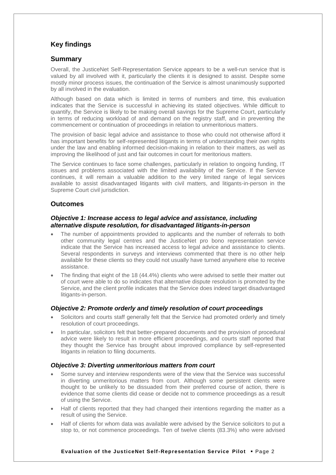## <span id="page-6-0"></span>**Key findings**

## **Summary**

Overall, the JusticeNet Self-Representation Service appears to be a well-run service that is valued by all involved with it, particularly the clients it is designed to assist. Despite some mostly minor process issues, the continuation of the Service is almost unanimously supported by all involved in the evaluation.

Although based on data which is limited in terms of numbers and time, this evaluation indicates that the Service is successful in achieving its stated objectives. While difficult to quantify, the Service is likely to be making overall savings for the Supreme Court, particularly in terms of reducing workload of and demand on the registry staff, and in preventing the commencement or continuation of proceedings in relation to unmeritorious matters.

The provision of basic legal advice and assistance to those who could not otherwise afford it has important benefits for self-represented litigants in terms of understanding their own rights under the law and enabling informed decision-making in relation to their matters, as well as improving the likelihood of just and fair outcomes in court for meritorious matters.

The Service continues to face some challenges, particularly in relation to ongoing funding, IT issues and problems associated with the limited availability of the Service. If the Service continues, it will remain a valuable addition to the very limited range of legal services available to assist disadvantaged litigants with civil matters, and litigants-in-person in the Supreme Court civil jurisdiction.

## <span id="page-6-1"></span>**Outcomes**

## *Objective 1: Increase access to legal advice and assistance, including alternative dispute resolution, for disadvantaged litigants-in-person*

- The number of appointments provided to applicants and the number of referrals to both other community legal centres and the JusticeNet pro bono representation service indicate that the Service has increased access to legal advice and assistance to clients. Several respondents in surveys and interviews commented that there is no other help available for these clients so they could not usually have turned anywhere else to receive assistance.
- The finding that eight of the 18 (44.4%) clients who were advised to settle their matter out of court were able to do so indicates that alternative dispute resolution is promoted by the Service, and the client profile indicates that the Service does indeed target disadvantaged litigants-in-person.

## *Objective 2: Promote orderly and timely resolution of court proceedings*

- Solicitors and courts staff generally felt that the Service had promoted orderly and timely resolution of court proceedings.
- In particular, solicitors felt that better-prepared documents and the provision of procedural advice were likely to result in more efficient proceedings, and courts staff reported that they thought the Service has brought about improved compliance by self-represented litigants in relation to filing documents.

## *Objective 3: Diverting unmeritorious matters from court*

- Some survey and interview respondents were of the view that the Service was successful in diverting unmeritorious matters from court. Although some persistent clients were thought to be unlikely to be dissuaded from their preferred course of action, there is evidence that some clients did cease or decide not to commence proceedings as a result of using the Service.
- Half of clients reported that they had changed their intentions regarding the matter as a result of using the Service.
- Half of clients for whom data was available were advised by the Service solicitors to put a stop to, or not commence proceedings. Ten of twelve clients (83.3%) who were advised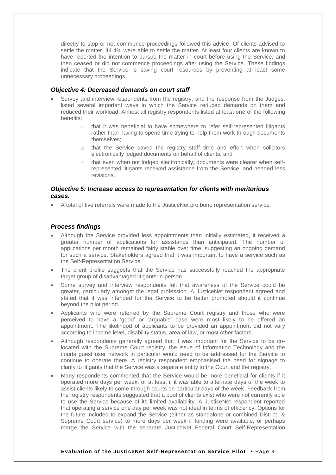directly to stop or not commence proceedings followed this advice. Of clients advised to settle the matter, 44.4% were able to settle the matter. At least four clients are known to have reported the intention to pursue the matter in court before using the Service, and then ceased or did not commence proceedings after using the Service. These findings indicate that the Service is saving court resources by preventing at least some unnecessary proceedings.

#### *Objective 4: Decreased demands on court staff*

- Survey and interview respondents from the registry, and the response from the Judges, listed several important ways in which the Service reduced demands on them and reduced their workload. Almost all registry respondents listed at least one of the following benefits:
	- o that it was beneficial to have somewhere to refer self-represented litigants rather than having to spend time trying to help them work through documents themselves;
	- o that the Service saved the registry staff time and effort when solicitors electronically lodged documents on behalf of clients; and
	- o that even when not lodged electronically, documents were clearer when selfrepresented litigants received assistance from the Service, and needed less revisions.

#### *Objective 5: Increase access to representation for clients with meritorious cases.*

A total of five referrals were made to the JusticeNet pro bono representation service.

## *Process findings*

- Although the Service provided less appointments than initially estimated, it received a greater number of applications for assistance than anticipated. The number of applications per month remained fairly stable over time, suggesting an ongoing demand for such a service. Stakeholders agreed that it was important to have a service such as the Self-Representation Service.
- The client profile suggests that the Service has successfully reached the appropriate target group of disadvantaged litigants-in-person.
- Some survey and interview respondents felt that awareness of the Service could be greater, particularly amongst the legal profession. A JusticeNet respondent agreed and stated that it was intended for the Service to be better promoted should it continue beyond the pilot period.
- Applicants who were referred by the Supreme Court registry and those who were perceived to have a 'good' or 'arguable' case were most likely to be offered an appointment. The likelihood of applicants to be provided an appointment did not vary according to income level, disability status, area of law, or most other factors..
- Although respondents generally agreed that it was important for the Service to be colocated with the Supreme Court registry, the issue of Information Technology and the courts guest user network in particular would need to be addressed for the Service to continue to operate there. A registry respondent emphasised the need for signage to clarify to litigants that the Service was a separate entity to the Court and the registry.
- Many respondents commented that the Service would be more beneficial for clients if it operated more days per week, or at least if it was able to alternate days of the week to assist clients likely to come through courts on particular days of the week. Feedback from the registry respondents suggested that a pool of clients exist who were not currently able to use the Service because of its limited availability. A JusticeNet respondent reported that operating a service one day per week was not ideal in terms of efficiency. Options for the future included to expand the Service (either as standalone or combined District & Supreme Court service) to more days per week if funding were available, or perhaps merge the Service with the separate JusticeNet Federal Court Self-Representation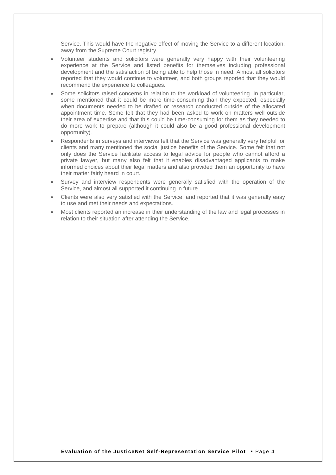Service. This would have the negative effect of moving the Service to a different location, away from the Supreme Court registry.

- Volunteer students and solicitors were generally very happy with their volunteering experience at the Service and listed benefits for themselves including professional development and the satisfaction of being able to help those in need. Almost all solicitors reported that they would continue to volunteer, and both groups reported that they would recommend the experience to colleagues.
- Some solicitors raised concerns in relation to the workload of volunteering. In particular, some mentioned that it could be more time-consuming than they expected, especially when documents needed to be drafted or research conducted outside of the allocated appointment time. Some felt that they had been asked to work on matters well outside their area of expertise and that this could be time-consuming for them as they needed to do more work to prepare (although it could also be a good professional development opportunity).
- Respondents in surveys and interviews felt that the Service was generally very helpful for clients and many mentioned the social justice benefits of the Service. Some felt that not only does the Service facilitate access to legal advice for people who cannot afford a private lawyer, but many also felt that it enables disadvantaged applicants to make informed choices about their legal matters and also provided them an opportunity to have their matter fairly heard in court.
- Survey and interview respondents were generally satisfied with the operation of the Service, and almost all supported it continuing in future.
- Clients were also very satisfied with the Service, and reported that it was generally easy to use and met their needs and expectations.
- Most clients reported an increase in their understanding of the law and legal processes in relation to their situation after attending the Service.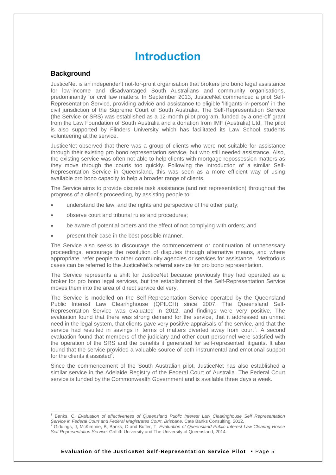## **Introduction**

## <span id="page-9-1"></span><span id="page-9-0"></span>**Background**

l

JusticeNet is an independent not-for-profit organisation that brokers pro bono legal assistance for low-income and disadvantaged South Australians and community organisations, predominantly for civil law matters. In September 2013, JusticeNet commenced a pilot Self-Representation Service, providing advice and assistance to eligible 'litigants-in-person' in the civil jurisdiction of the Supreme Court of South Australia. The Self-Representation Service (the Service or SRS) was established as a 12-month pilot program, funded by a one-off grant from the Law Foundation of South Australia and a donation from IMF (Australia) Ltd. The pilot is also supported by Flinders University which has facilitated its Law School students volunteering at the service.

JusticeNet observed that there was a group of clients who were not suitable for assistance through their existing pro bono representation service, but who still needed assistance. Also, the existing service was often not able to help clients with mortgage repossession matters as they move through the courts too quickly. Following the introduction of a similar Self-Representation Service in Queensland, this was seen as a more efficient way of using available pro bono capacity to help a broader range of clients.

The Service aims to provide discrete task assistance (and not representation) throughout the progress of a client's proceeding, by assisting people to:

- understand the law, and the rights and perspective of the other party;
- observe court and tribunal rules and procedures;
- be aware of potential orders and the effect of not complying with orders; and
- present their case in the best possible manner.

The Service also seeks to discourage the commencement or continuation of unnecessary proceedings, encourage the resolution of disputes through alternative means, and where appropriate, refer people to other community agencies or services for assistance. Meritorious cases can be referred to the JusticeNet's referral service for pro bono representation.

The Service represents a shift for JusticeNet because previously they had operated as a broker for pro bono legal services, but the establishment of the Self-Representation Service moves them into the area of direct service delivery.

The Service is modelled on the Self-Representation Service operated by the Queensland Public Interest Law Clearinghouse (QPILCH) since 2007. The Queensland Self-Representation Service was evaluated in 2012, and findings were very positive. The evaluation found that there was strong demand for the service, that it addressed an unmet need in the legal system, that clients gave very positive appraisals of the service, and that the service had resulted in savings in terms of matters diverted away from court<sup>1</sup>. A second evaluation found that members of the judiciary and other court personnel were satisfied with the operation of the SRS and the benefits it generated for self-represented litigants. It also found that the service provided a valuable source of both instrumental and emotional support for the clients it assisted<sup>2</sup>.

Since the commencement of the South Australian pilot, JusticeNet has also established a similar service in the Adelaide Registry of the Federal Court of Australia. The Federal Court service is funded by the Commonwealth Government and is available three days a week.

<sup>1</sup> Banks, C. *Evaluation of effectiveness of Queensland Public Interest Law Clearinghouse Self Representation*  Service in Federal Court and Federal Magistrates Court, Brisbane. Cate Banks Consulting, 2012.<br><sup>2</sup> Giddings, J, McKimmie, B, Banks, C and Butler, T. *Evaluation of Queensland Public Interest Law Clearing House* 

*Self Representation Service*. Griffith University and The University of Queensland, 2014.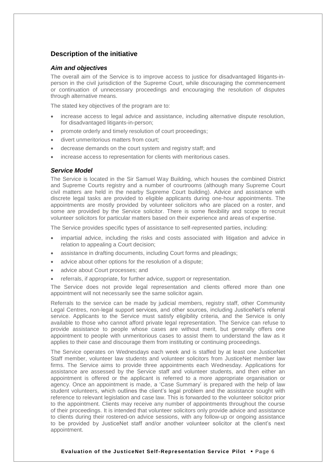## <span id="page-10-0"></span>**Description of the initiative**

## *Aim and objectives*

The overall aim of the Service is to improve access to justice for disadvantaged litigants-inperson in the civil jurisdiction of the Supreme Court, while discouraging the commencement or continuation of unnecessary proceedings and encouraging the resolution of disputes through alternative means.

The stated key objectives of the program are to:

- increase access to legal advice and assistance, including alternative dispute resolution, for disadvantaged litigants-in-person;
- promote orderly and timely resolution of court proceedings;
- divert unmeritorious matters from court;
- decrease demands on the court system and registry staff; and
- increase access to representation for clients with meritorious cases.

## *Service Model*

The Service is located in the Sir Samuel Way Building, which houses the combined District and Supreme Courts registry and a number of courtrooms (although many Supreme Court civil matters are held in the nearby Supreme Court building). Advice and assistance with discrete legal tasks are provided to eligible applicants during one-hour appointments. The appointments are mostly provided by volunteer solicitors who are placed on a roster, and some are provided by the Service solicitor. There is some flexibility and scope to recruit volunteer solicitors for particular matters based on their experience and areas of expertise.

The Service provides specific types of assistance to self-represented parties, including:

- impartial advice, including the risks and costs associated with litigation and advice in relation to appealing a Court decision;
- assistance in drafting documents, including Court forms and pleadings;
- advice about other options for the resolution of a dispute;
- advice about Court processes; and
- referrals, if appropriate, for further advice, support or representation.

The Service does not provide legal representation and clients offered more than one appointment will not necessarily see the same solicitor again.

Referrals to the service can be made by judicial members, registry staff, other Community Legal Centres, non-legal support services, and other sources, including JusticeNet's referral service. Applicants to the Service must satisfy eligibility criteria, and the Service is only available to those who cannot afford private legal representation. The Service can refuse to provide assistance to people whose cases are without merit, but generally offers one appointment to people with unmeritorious cases to assist them to understand the law as it applies to their case and discourage them from instituting or continuing proceedings.

The Service operates on Wednesdays each week and is staffed by at least one JusticeNet Staff member, volunteer law students and volunteer solicitors from JusticeNet member law firms. The Service aims to provide three appointments each Wednesday. Applications for assistance are assessed by the Service staff and volunteer students, and then either an appointment is offered or the applicant is referred to a more appropriate organisation or agency. Once an appointment is made, a 'Case Summary' is prepared with the help of law student volunteers, which outlines the client's legal problem and the assistance sought with reference to relevant legislation and case law. This is forwarded to the volunteer solicitor prior to the appointment. Clients may receive any number of appointments throughout the course of their proceedings. It is intended that volunteer solicitors only provide advice and assistance to clients during their rostered-on advice sessions, with any follow-up or ongoing assistance to be provided by JusticeNet staff and/or another volunteer solicitor at the client's next appointment.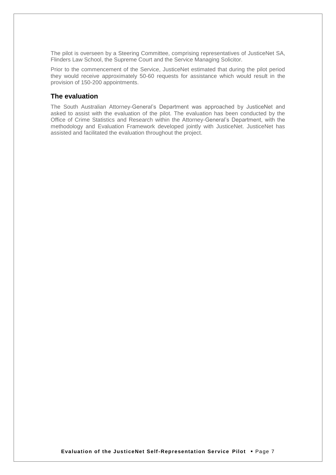The pilot is overseen by a Steering Committee, comprising representatives of JusticeNet SA, Flinders Law School, the Supreme Court and the Service Managing Solicitor.

Prior to the commencement of the Service, JusticeNet estimated that during the pilot period they would receive approximately 50-60 requests for assistance which would result in the provision of 150-200 appointments.

## <span id="page-11-0"></span>**The evaluation**

The South Australian Attorney-General's Department was approached by JusticeNet and asked to assist with the evaluation of the pilot. The evaluation has been conducted by the Office of Crime Statistics and Research within the Attorney-General's Department, with the methodology and Evaluation Framework developed jointly with JusticeNet. JusticeNet has assisted and facilitated the evaluation throughout the project.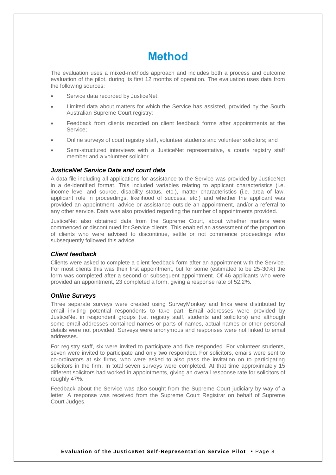# **Method**

<span id="page-12-0"></span>The evaluation uses a mixed-methods approach and includes both a process and outcome evaluation of the pilot, during its first 12 months of operation. The evaluation uses data from the following sources:

- Service data recorded by JusticeNet;
- Limited data about matters for which the Service has assisted, provided by the South Australian Supreme Court registry;
- Feedback from clients recorded on client feedback forms after appointments at the Service;
- Online surveys of court registry staff, volunteer students and volunteer solicitors; and
- Semi-structured interviews with a JusticeNet representative, a courts registry staff member and a volunteer solicitor.

## *JusticeNet Service Data and court data*

A data file including all applications for assistance to the Service was provided by JusticeNet in a de-identified format. This included variables relating to applicant characteristics (i.e. income level and source, disability status, etc.), matter characteristics (i.e. area of law, applicant role in proceedings, likelihood of success, etc.) and whether the applicant was provided an appointment, advice or assistance outside an appointment, and/or a referral to any other service. Data was also provided regarding the number of appointments provided.

JusticeNet also obtained data from the Supreme Court, about whether matters were commenced or discontinued for Service clients. This enabled an assessment of the proportion of clients who were advised to discontinue, settle or not commence proceedings who subsequently followed this advice.

## *Client feedback*

Clients were asked to complete a client feedback form after an appointment with the Service. For most clients this was their first appointment, but for some (estimated to be 25-30%) the form was completed after a second or subsequent appointment. Of 46 applicants who were provided an appointment, 23 completed a form, giving a response rate of 52.2%.

## *Online Surveys*

Three separate surveys were created using SurveyMonkey and links were distributed by email inviting potential respondents to take part. Email addresses were provided by JusticeNet in respondent groups (i.e. registry staff, students and solicitors) and although some email addresses contained names or parts of names, actual names or other personal details were not provided. Surveys were anonymous and responses were not linked to email addresses.

For registry staff, six were invited to participate and five responded. For volunteer students, seven were invited to participate and only two responded. For solicitors, emails were sent to co-ordinators at six firms, who were asked to also pass the invitation on to participating solicitors in the firm. In total seven surveys were completed. At that time approximately 15 different solicitors had worked in appointments, giving an overall response rate for solicitors of roughly 47%.

Feedback about the Service was also sought from the Supreme Court judiciary by way of a letter. A response was received from the Supreme Court Registrar on behalf of Supreme Court Judges.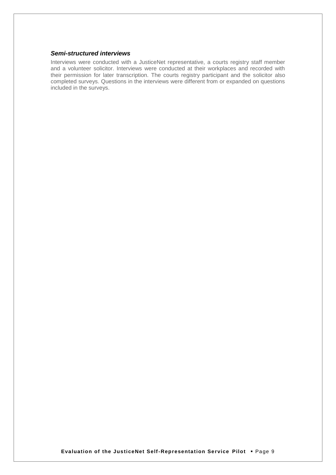## *Semi-structured interviews*

Interviews were conducted with a JusticeNet representative, a courts registry staff member and a volunteer solicitor. Interviews were conducted at their workplaces and recorded with their permission for later transcription. The courts registry participant and the solicitor also completed surveys. Questions in the interviews were different from or expanded on questions included in the surveys.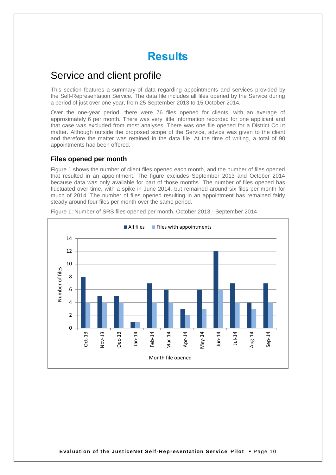## **Results**

## <span id="page-14-1"></span><span id="page-14-0"></span>Service and client profile

This section features a summary of data regarding appointments and services provided by the Self-Representation Service. The data file includes all files opened by the Service during a period of just over one year, from 25 September 2013 to 15 October 2014.

Over the one-year period, there were 76 files opened for clients, with an average of approximately 6 per month. There was very little information recorded for one applicant and that case was excluded from most analyses. There was one file opened for a District Court matter. Although outside the proposed scope of the Service, advice was given to the client and therefore the matter was retained in the data file. At the time of writing, a total of 90 appointments had been offered.

## <span id="page-14-2"></span>**Files opened per month**

Figure 1 shows the number of client files opened each month, and the number of files opened that resulted in an appointment. The figure excludes September 2013 and October 2014 because data was only available for part of those months. The number of files opened has fluctuated over time, with a spike in June 2014, but remained around six files per month for much of 2014. The number of files opened resulting in an appointment has remained fairly steady around four files per month over the same period.

<span id="page-14-3"></span>

Figure 1: Number of SRS files opened per month, October 2013 - September 2014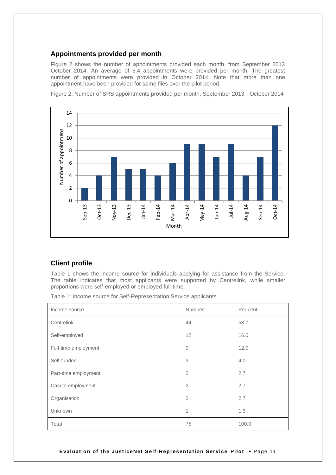## **Appointments provided per month**

Figure 2 shows the number of appointments provided each month, from September 2013 October 2014. An average of 6.4 appointments were provided per month. The greatest number of appointments were provided in October 2014. Note that more than one appointment have been provided for some files over the pilot period.





## **Client profile**

Table 1 shows the income source for individuals applying for assistance from the Service. The table indicates that most applicants were supported by Centrelink, while smaller proportions were self-employed or employed full-time.

Table 1: Income source for Self-Representation Service applicants

| Income source        | Number         | Per cent |
|----------------------|----------------|----------|
| Centrelink           | 44             | 58.7     |
| Self-employed        | 12             | 16.0     |
| Full-time employment | $\hbox{9}$     | 12.0     |
| Self-funded          | 3              | 4.0      |
| Part-time employment | $\overline{2}$ | 2.7      |
| Casual employment    | $\overline{2}$ | 2.7      |
| Organisation         | $\overline{2}$ | 2.7      |
| Unknown              | 1              | 1.3      |
| Total                | 75             | 100.0    |

**Evaluation of the JusticeNet Self-Representation Service Pilot** Page 11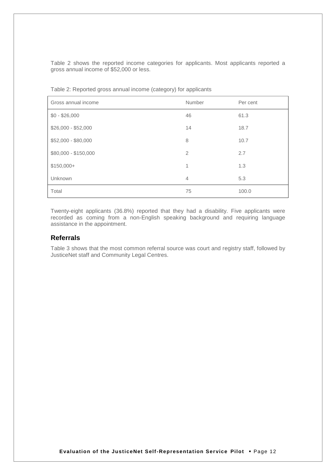Table 2 shows the reported income categories for applicants. Most applicants reported a gross annual income of \$52,000 or less.

| Gross annual income  | Number         | Per cent |
|----------------------|----------------|----------|
| $$0 - $26,000$       | 46             | 61.3     |
| $$26,000 - $52,000$  | 14             | 18.7     |
| \$52,000 - \$80,000  | 8              | 10.7     |
| \$80,000 - \$150,000 | $\overline{2}$ | 2.7      |
| $$150,000+$          | 1              | 1.3      |
| Unknown              | $\overline{4}$ | 5.3      |
| Total                | 75             | 100.0    |

Table 2: Reported gross annual income (category) for applicants

Twenty-eight applicants (36.8%) reported that they had a disability. Five applicants were recorded as coming from a non-English speaking background and requiring language assistance in the appointment.

## <span id="page-16-0"></span>**Referrals**

Table 3 shows that the most common referral source was court and registry staff, followed by JusticeNet staff and Community Legal Centres.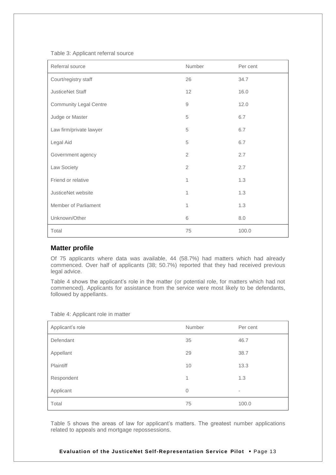Table 3: Applicant referral source

| Referral source               | Number         | Per cent |
|-------------------------------|----------------|----------|
| Court/registry staff          | 26             | 34.7     |
| JusticeNet Staff              | 12             | 16.0     |
| <b>Community Legal Centre</b> | $\hbox{9}$     | 12.0     |
| Judge or Master               | 5              | 6.7      |
| Law firm/private lawyer       | 5              | 6.7      |
| Legal Aid                     | 5              | 6.7      |
| Government agency             | $\overline{2}$ | 2.7      |
| Law Society                   | $\overline{2}$ | 2.7      |
| Friend or relative            | 1              | 1.3      |
| JusticeNet website            | 1              | 1.3      |
| Member of Parliament          | 1              | 1.3      |
| Unknown/Other                 | 6              | 8.0      |
| Total                         | 75             | 100.0    |

## <span id="page-17-0"></span>**Matter profile**

Of 75 applicants where data was available, 44 (58.7%) had matters which had already commenced. Over half of applicants (38; 50.7%) reported that they had received previous legal advice.

Table 4 shows the applicant's role in the matter (or potential role, for matters which had not commenced). Applicants for assistance from the service were most likely to be defendants, followed by appellants.

| Table 4: Applicant role in matter |  |  |  |  |  |
|-----------------------------------|--|--|--|--|--|
|-----------------------------------|--|--|--|--|--|

| Applicant's role | Number       | Per cent |
|------------------|--------------|----------|
| Defendant        | 35           | 46.7     |
| Appellant        | 29           | 38.7     |
| Plaintiff        | 10           | 13.3     |
| Respondent       | 1            | 1.3      |
| Applicant        | $\mathbf{0}$ | ۰.       |
| Total            | 75           | 100.0    |

Table 5 shows the areas of law for applicant's matters. The greatest number applications related to appeals and mortgage repossessions.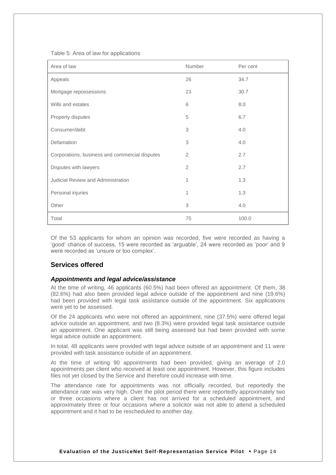Table 5: Area of law for applications

| Area of law                                    | Number         | Per cent |
|------------------------------------------------|----------------|----------|
| Appeals                                        | 26             | 34.7     |
| Mortgage repossessions                         | 23             | 30.7     |
| Wills and estates                              | 6              | 8.0      |
| Property disputes                              | 5              | 6.7      |
| Consumer/debt                                  | 3              | 4.0      |
| Defamation                                     | 3              | 4.0      |
| Corporations, business and commercial disputes | 2              | 2.7      |
| Disputes with lawyers                          | $\overline{2}$ | 2.7      |
| <b>Judicial Review and Administration</b>      | 1              | 1.3      |
| Personal injuries                              | 1              | 1.3      |
| Other                                          | 3              | 4.0      |
| Total                                          | 75             | 100.0    |

Of the 53 applicants for whom an opinion was recorded, five were recorded as having a 'good' chance of success, 15 were recorded as 'arguable', 24 were recorded as 'poor' and 9 were recorded as 'unsure or too complex'.

## <span id="page-18-0"></span>**Services offered**

#### *Appointments and legal advice/assistance*

At the time of writing, 46 applicants (60.5%) had been offered an appointment. Of them, 38 (82.6%) had also been provided legal advice outside of the appointment and nine (19.6%) had been provided with legal task assistance outside of the appointment. Six applications were yet to be assessed.

Of the 24 applicants who were not offered an appointment, nine (37.5%) were offered legal advice outside an appointment, and two (8.3%) were provided legal task assistance outside an appointment. One applicant was still being assessed but had been provided with some legal advice outside an appointment.

In total, 48 applicants were provided with legal advice outside of an appointment and 11 were provided with task assistance outside of an appointment.

At the time of writing 90 appointments had been provided, giving an average of 2.0 appointments per client who received at least one appointment. However, this figure includes files not yet closed by the Service and therefore could increase with time.

The attendance rate for appointments was not officially recorded, but reportedly the attendance rate was very high. Over the pilot period there were reportedly approximately two or three occasions where a client has not arrived for a scheduled appointment, and approximately three or four occasions where a solicitor was not able to attend a scheduled appointment and it had to be rescheduled to another day.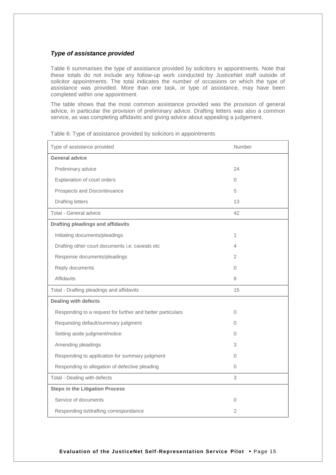## *Type of assistance provided*

Table 6 summarises the type of assistance provided by solicitors in appointments. Note that these totals do not include any follow-up work conducted by JusticeNet staff outside of solicitor appointments. The total indicates the number of occasions on which the type of assistance was provided. More than one task, or type of assistance, may have been completed within one appointment.

The table shows that the most common assistance provided was the provision of general advice, in particular the provision of preliminary advice. Drafting letters was also a common service, as was completing affidavits and giving advice about appealing a judgement.

| Type of assistance provided                                | <b>Number</b>  |
|------------------------------------------------------------|----------------|
| <b>General advice</b>                                      |                |
| Preliminary advice                                         | 24             |
| Explanation of court orders                                | $\Omega$       |
| Prospects and Discontinuance                               | 5              |
| <b>Drafting letters</b>                                    | 13             |
| Total - General advice                                     | 42             |
| <b>Drafting pleadings and affidavits</b>                   |                |
| Initiating documents/pleadings                             | $\mathbf{1}$   |
| Drafting other court documents i.e. caveats etc            | $\overline{4}$ |
| Response documents/pleadings                               | 2              |
| Reply documents                                            | $\Omega$       |
| <b>Affidavits</b>                                          | 8              |
| Total - Drafting pleadings and affidavits                  | 15             |
| <b>Dealing with defects</b>                                |                |
| Responding to a request for further and better particulars | $\Omega$       |
| Requesting default/summary judgment                        | $\Omega$       |
| Setting aside judgment/notice                              | $\Omega$       |
| Amending pleadings                                         | 3              |
| Responding to application for summary judgment             | $\Omega$       |
| Responding to allegation of defective pleading             | $\mathbf 0$    |
| Total - Dealing with defects                               | 3              |
| <b>Steps in the Litigation Process</b>                     |                |
| Service of documents                                       | $\Omega$       |
| Responding to/drafting correspondance                      | 2              |

Table 6: Type of assistance provided by solicitors in appointments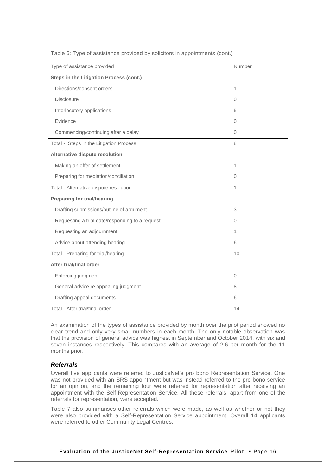| Type of assistance provided                     | Number       |
|-------------------------------------------------|--------------|
| <b>Steps in the Litigation Process (cont.)</b>  |              |
| Directions/consent orders                       | 1            |
| <b>Disclosure</b>                               | 0            |
| Interlocutory applications                      | 5            |
| Evidence                                        | 0            |
| Commencing/continuing after a delay             | 0            |
| Total - Steps in the Litigation Process         | 8            |
| Alternative dispute resolution                  |              |
| Making an offer of settlement                   | 1            |
| Preparing for mediation/conciliation            | 0            |
| Total - Alternative dispute resolution          | $\mathbf{1}$ |
| <b>Preparing for trial/hearing</b>              |              |
| Drafting submissions/outline of argument        | 3            |
| Requesting a trial date/responding to a request | 0            |
| Requesting an adjournment                       | 1            |
| Advice about attending hearing                  | 6            |
| Total - Preparing for trial/hearing             | 10           |
| <b>After trial/final order</b>                  |              |
| Enforcing judgment                              | 0            |
| General advice re appealing judgment            | 8            |
| Drafting appeal documents                       | 6            |
| Total - After trial/final order                 | 14           |

Table 6: Type of assistance provided by solicitors in appointments (cont.)

An examination of the types of assistance provided by month over the pilot period showed no clear trend and only very small numbers in each month. The only notable observation was that the provision of general advice was highest in September and October 2014, with six and seven instances respectively. This compares with an average of 2.6 per month for the 11 months prior.

## *Referrals*

Overall five applicants were referred to JusticeNet's pro bono Representation Service. One was not provided with an SRS appointment but was instead referred to the pro bono service for an opinion, and the remaining four were referred for representation after receiving an appointment with the Self-Representation Service. All these referrals, apart from one of the referrals for representation, were accepted.

Table 7 also summarises other referrals which were made, as well as whether or not they were also provided with a Self-Representation Service appointment. Overall 14 applicants were referred to other Community Legal Centres.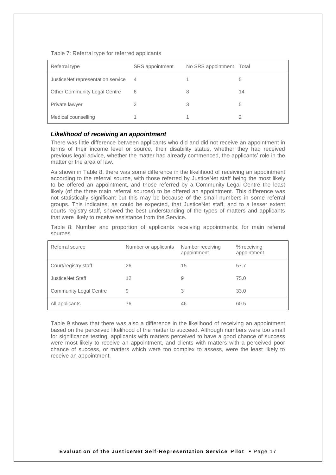Table 7: Referral type for referred applicants

| Referral type                       | SRS appointment | No SRS appointment Total |    |
|-------------------------------------|-----------------|--------------------------|----|
| JusticeNet representation service   | $\overline{4}$  |                          | 5  |
| <b>Other Community Legal Centre</b> | 6               | 8                        | 14 |
| Private lawyer                      |                 | 3                        | 5  |
| Medical counselling                 |                 |                          | 2  |

#### *Likelihood of receiving an appointment*

There was little difference between applicants who did and did not receive an appointment in terms of their income level or source, their disability status, whether they had received previous legal advice, whether the matter had already commenced, the applicants' role in the matter or the area of law.

As shown in Table 8, there was some difference in the likelihood of receiving an appointment according to the referral source, with those referred by JusticeNet staff being the most likely to be offered an appointment, and those referred by a Community Legal Centre the least likely (of the three main referral sources) to be offered an appointment. This difference was not statistically significant but this may be because of the small numbers in some referral groups. This indicates, as could be expected, that JusticeNet staff, and to a lesser extent courts registry staff, showed the best understanding of the types of matters and applicants that were likely to receive assistance from the Service.

Table 8: Number and proportion of applicants receiving appointments, for main referral sources

| Referral source               | Number or applicants | Number receiving<br>appointment | % receiving<br>appointment |
|-------------------------------|----------------------|---------------------------------|----------------------------|
| Court/registry staff          | 26                   | 15                              | 57.7                       |
| JusticeNet Staff              | 12                   | 9                               | 75.0                       |
| <b>Community Legal Centre</b> | 9                    | 3                               | 33.0                       |
| All applicants                | 76                   | 46                              | 60.5                       |

Table 9 shows that there was also a difference in the likelihood of receiving an appointment based on the perceived likelihood of the matter to succeed. Although numbers were too small for significance testing, applicants with matters perceived to have a good chance of success were most likely to receive an appointment, and clients with matters with a perceived poor chance of success, or matters which were too complex to assess, were the least likely to receive an appointment.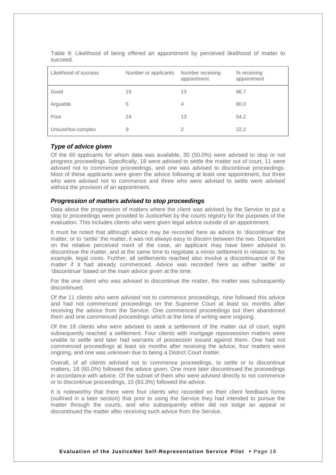| Likelihood of success | Number or applicants | Number receiving<br>appointment | % receiving<br>appointment |
|-----------------------|----------------------|---------------------------------|----------------------------|
| Good                  | 15                   | 13                              | 86.7                       |
| Arguable              | 5                    | 4                               | 80.0                       |
| Poor                  | 24                   | 13                              | 54.2                       |
| Unsure/too complex    | 9                    | 2                               | 22.2                       |

Table 9: Likelihood of being offered an appointment by perceived likelihood of matter to succeed.

## *Type of advice given*

Of the 60 applicants for whom data was available, 30 (50.0%) were advised to stop or not progress proceedings. Specifically, 18 were advised to settle the matter out of court, 11 were advised not to commence proceedings, and one was advised to discontinue proceedings. Most of these applicants were given the advice following at least one appointment, but three who were advised not to commence and three who were advised to settle were advised without the provision of an appointment.

#### *Progression of matters advised to stop proceedings*

Data about the progression of matters where the client was advised by the Service to put a stop to proceedings were provided to JusticeNet by the courts registry for the purposes of the evaluation. This includes clients who were given legal advice outside of an appointment.

It must be noted that although advice may be recorded here as advice to 'discontinue' the matter, or to 'settle' the matter, it was not always easy to discern between the two. Dependant on the relative perceived merit of the case, an applicant may have been advised to discontinue the matter, and at the same time to negotiate a minor settlement in relation to, for example, legal costs. Further, all settlements reached also involve a discontinuance of the matter if it had already commenced. Advice was recorded here as either 'settle' or 'discontinue' based on the *main* advice given at the time.

For the one client who was advised to discontinue the matter, the matter was subsequently discontinued.

Of the 11 clients who were advised not to commence proceedings, nine followed this advice and had not commenced proceedings on the Supreme Court at least six months after receiving the advice from the Service. One commenced proceedings but then abandoned them and one commenced proceedings which at the time of writing were ongoing.

Of the 18 clients who were advised to seek a settlement of the matter out of court, eight subsequently reached a settlement. Four clients with mortgage repossession matters were unable to settle and later had warrants of possession issued against them. One had not commenced proceedings at least six months after receiving the advice, four matters were ongoing, and one was unknown due to being a District Court matter.

Overall, of all clients advised not to commence proceedings, to settle or to discontinue matters, 18 (60.0%) followed the advice given. One more later discontinued the proceedings in accordance with advice. Of the subset of them who were advised directly to not commence or to discontinue proceedings, 10 (83.3%) followed the advice.

It is noteworthy that there were four clients who recorded on their client feedback forms (outlined in a later section) that prior to using the Service they had intended to pursue the matter through the courts, and who subsequently either did not lodge an appeal or discontinued the matter after receiving such advice from the Service.

**Evaluation of the JusticeNet Self-Representation Service Pilot** Page 18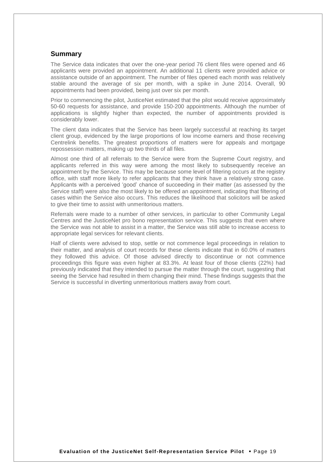## <span id="page-23-0"></span>**Summary**

The Service data indicates that over the one-year period 76 client files were opened and 46 applicants were provided an appointment. An additional 11 clients were provided advice or assistance outside of an appointment. The number of files opened each month was relatively stable around the average of six per month, with a spike in June 2014. Overall, 90 appointments had been provided, being just over six per month.

Prior to commencing the pilot, JusticeNet estimated that the pilot would receive approximately 50-60 requests for assistance, and provide 150-200 appointments. Although the number of applications is slightly higher than expected, the number of appointments provided is considerably lower.

The client data indicates that the Service has been largely successful at reaching its target client group, evidenced by the large proportions of low income earners and those receiving Centrelink benefits. The greatest proportions of matters were for appeals and mortgage repossession matters, making up two thirds of all files.

Almost one third of all referrals to the Service were from the Supreme Court registry, and applicants referred in this way were among the most likely to subsequently receive an appointment by the Service. This may be because some level of filtering occurs at the registry office, with staff more likely to refer applicants that they think have a relatively strong case. Applicants with a perceived 'good' chance of succeeding in their matter (as assessed by the Service staff) were also the most likely to be offered an appointment, indicating that filtering of cases within the Service also occurs. This reduces the likelihood that solicitors will be asked to give their time to assist with unmeritorious matters.

Referrals were made to a number of other services, in particular to other Community Legal Centres and the JusticeNet pro bono representation service. This suggests that even where the Service was not able to assist in a matter, the Service was still able to increase access to appropriate legal services for relevant clients.

Half of clients were advised to stop, settle or not commence legal proceedings in relation to their matter, and analysis of court records for these clients indicate that in 60.0% of matters they followed this advice. Of those advised directly to discontinue or not commence proceedings this figure was even higher at 83.3%. At least four of those clients (22%) had previously indicated that they intended to pursue the matter through the court, suggesting that seeing the Service had resulted in them changing their mind. These findings suggests that the Service is successful in diverting unmeritorious matters away from court.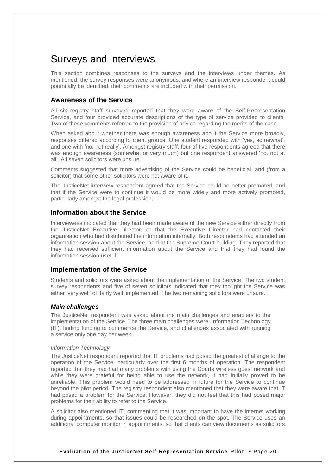## <span id="page-24-0"></span>Surveys and interviews

This section combines responses to the surveys and the interviews under themes. As mentioned, the survey responses were anonymous, and where an interview respondent could potentially be identified, their comments are included with their permission.

## <span id="page-24-1"></span>**Awareness of the Service**

All six registry staff surveyed reported that they were aware of the Self-Representation Service, and four provided accurate descriptions of the type of service provided to clients. Two of these comments referred to the provision of advice regarding the merits of the case.

When asked about whether there was enough awareness about the Service more broadly, responses differed according to client groups. One student responded with 'yes, somewhat', and one with 'no, not really'. Amongst registry staff, four of five respondents agreed that there was enough awareness (somewhat or very much) but one respondent answered 'no, not at all'. All seven solicitors were unsure.

Comments suggested that more advertising of the Service could be beneficial, and (from a solicitor) that some other solicitors were not aware of it.

The JusticeNet interview respondent agreed that the Service could be better promoted, and that if the Service were to continue it would be more widely and more actively promoted, particularly amongst the legal profession.

## <span id="page-24-2"></span>**Information about the Service**

Interviewees indicated that they had been made aware of the new Service either directly from the JusticeNet Executive Director, or that the Executive Director had contacted their organisation who had distributed the information internally. Both respondents had attended an information session about the Service, held at the Supreme Court building. They reported that they had received sufficient information about the Service and that they had found the information session useful.

## <span id="page-24-3"></span>**Implementation of the Service**

Students and solicitors were asked about the implementation of the Service. The two student survey respondents and five of seven solicitors indicated that they thought the Service was either 'very well' of 'fairly well' implemented. The two remaining solicitors were unsure.

## *Main challenges*

The JusticeNet respondent was asked about the main challenges and enablers to the implementation of the Service. The three main challenges were: Information Technology (IT), finding funding to commence the Service, and challenges associated with running a service only one day per week.

#### *Information Technology*

The JusticeNet respondent reported that IT problems had posed the greatest challenge to the operation of the Service, particularly over the first 6 months of operation. The respondent reported that they had had many problems with using the Courts wireless guest network and while they were grateful for being able to use the network, it had initially proved to be unreliable. This problem would need to be addressed in future for the Service to continue beyond the pilot period. The registry respondent also mentioned that they were aware that IT had posed a problem for the Service. However, they did not feel that this had posed major problems for their ability to refer to the Service.

A solicitor also mentioned IT, commenting that it was important to have the internet working during appointments, so that issues could be researched on the spot. The Service uses an additional computer monitor in appointments, so that clients can view documents as solicitors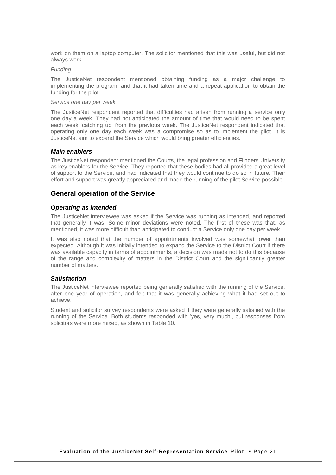work on them on a laptop computer. The solicitor mentioned that this was useful, but did not always work.

#### *Funding*

The JusticeNet respondent mentioned obtaining funding as a major challenge to implementing the program, and that it had taken time and a repeat application to obtain the funding for the pilot.

#### *Service one day per week*

The JusticeNet respondent reported that difficulties had arisen from running a service only one day a week. They had not anticipated the amount of time that would need to be spent each week 'catching up' from the previous week. The JusticeNet respondent indicated that operating only one day each week was a compromise so as to implement the pilot. It is JusticeNet aim to expand the Service which would bring greater efficiencies.

#### *Main enablers*

The JusticeNet respondent mentioned the Courts, the legal profession and Flinders University as key enablers for the Service. They reported that these bodies had all provided a great level of support to the Service, and had indicated that they would continue to do so in future. Their effort and support was greatly appreciated and made the running of the pilot Service possible.

#### <span id="page-25-0"></span>**General operation of the Service**

#### *Operating as intended*

The JusticeNet interviewee was asked if the Service was running as intended, and reported that generally it was. Some minor deviations were noted. The first of these was that, as mentioned, it was more difficult than anticipated to conduct a Service only one day per week.

It was also noted that the number of appointments involved was somewhat lower than expected. Although it was initially intended to expand the Service to the District Court if there was available capacity in terms of appointments, a decision was made not to do this because of the range and complexity of matters in the District Court and the significantly greater number of matters.

#### *Satisfaction*

The JusticeNet interviewee reported being generally satisfied with the running of the Service, after one year of operation, and felt that it was generally achieving what it had set out to achieve.

Student and solicitor survey respondents were asked if they were generally satisfied with the running of the Service. Both students responded with 'yes, very much', but responses from solicitors were more mixed, as shown in Table 10.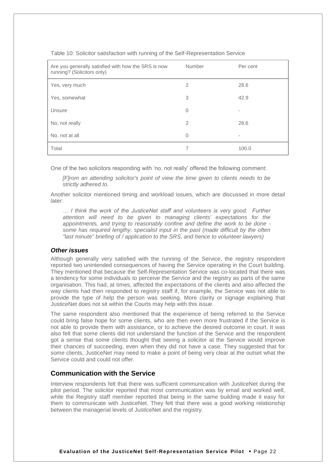| Are you generally satisfied with how the SRS is now<br>running? (Solicitors only) | Number         | Per cent                 |
|-----------------------------------------------------------------------------------|----------------|--------------------------|
| Yes, very much                                                                    | $\overline{2}$ | 28.6                     |
| Yes, somewhat                                                                     | 3              | 42.9                     |
| Unsure                                                                            | $\Omega$       | $\overline{\phantom{a}}$ |
| No, not really                                                                    | $\overline{2}$ | 28.6                     |
| No, not at all                                                                    | $\Omega$       | ۰                        |
| Total                                                                             | 7              | 100.0                    |

Table 10: Solicitor satisfaction with running of the Self-Representation Service

One of the two solicitors responding with 'no, not really' offered the following comment:

*[F]rom an attending solicitor's point of view the time given to clients needs to be strictly adhered to.*

Another solicitor mentioned timing and workload issues, which are discussed in more detail later:

*… I think the work of the JusticeNet staff and volunteers is very good. Further attention will need to be given to managing clients' expectations for the appointments, and trying to reasonably confine and define the work to be done some has required lengthy, specialist input in the past (made difficult by the often "last minute" briefing of / application to the SRS, and hence to volunteer lawyers)*

#### *Other issues*

Although generally very satisfied with the running of the Service, the registry respondent reported two unintended consequences of having the Service operating in the Court building. They mentioned that because the Self-Representation Service was co-located that there was a tendency for some individuals to perceive the Service and the registry as parts of the same organisation. This had, at times, affected the expectations of the clients and also affected the way clients had then responded to registry staff if, for example, the Service was not able to provide the type of help the person was seeking. More clarity or signage explaining that JusticeNet does not sit within the Courts may help with this issue.

The same respondent also mentioned that the experience of being referred to the Service could bring false hope for some clients, who are then even more frustrated if the Service is not able to provide them with assistance, or to achieve the desired outcome in court. It was also felt that some clients did not understand the function of the Service and the respondent got a sense that some clients thought that seeing a solicitor at the Service would improve their chances of succeeding, even when they did not have a case. They suggested that for some clients, JusticeNet may need to make a point of being very clear at the outset what the Service could and could not offer.

## <span id="page-26-0"></span>**Communication with the Service**

Interview respondents felt that there was sufficient communication with JusticeNet during the pilot period. The solicitor reported that most communication was by email and worked well, while the Registry staff member reported that being in the same building made it easy for them to communicate with JusticeNet. They felt that there was a good working relationship between the managerial levels of JusticeNet and the registry.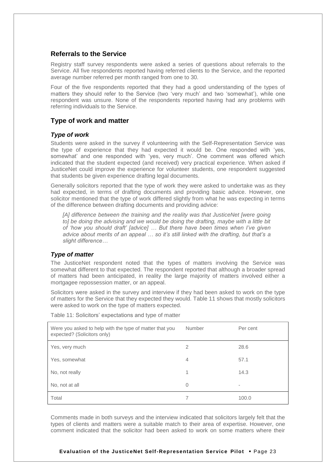## <span id="page-27-0"></span>**Referrals to the Service**

Registry staff survey respondents were asked a series of questions about referrals to the Service. All five respondents reported having referred clients to the Service, and the reported average number referred per month ranged from one to 30.

Four of the five respondents reported that they had a good understanding of the types of matters they should refer to the Service (two 'very much' and two 'somewhat'), while one respondent was unsure. None of the respondents reported having had any problems with referring individuals to the Service.

## <span id="page-27-1"></span>**Type of work and matter**

## *Type of work*

Students were asked in the survey if volunteering with the Self-Representation Service was the type of experience that they had expected it would be. One responded with 'yes, somewhat' and one responded with 'yes, very much'. One comment was offered which indicated that the student expected (and received) very practical experience. When asked if JusticeNet could improve the experience for volunteer students, one respondent suggested that students be given experience drafting legal documents.

Generally solicitors reported that the type of work they were asked to undertake was as they had expected, in terms of drafting documents and providing basic advice. However, one solicitor mentioned that the type of work differed slightly from what he was expecting in terms of the difference between drafting documents and providing advice:

*[A] difference between the training and the reality was that JusticeNet [were going to] be doing the advising and we would be doing the drafting, maybe with a little bit of 'how you should draft' [advice] … But there have been times when I've given advice about merits of an appeal … so it's still linked with the drafting, but that's a slight difference…*

#### *Type of matter*

The JusticeNet respondent noted that the types of matters involving the Service was somewhat different to that expected. The respondent reported that although a broader spread of matters had been anticipated, in reality the large majority of matters involved either a mortgagee repossession matter, or an appeal.

Solicitors were asked in the survey and interview if they had been asked to work on the type of matters for the Service that they expected they would. Table 11 shows that mostly solicitors were asked to work on the type of matters expected.

| Were you asked to help with the type of matter that you<br>expected? (Solicitors only) | Number         | Per cent |
|----------------------------------------------------------------------------------------|----------------|----------|
| Yes, very much                                                                         | 2              | 28.6     |
| Yes, somewhat                                                                          | $\overline{4}$ | 57.1     |
| No, not really                                                                         | 1              | 14.3     |
| No, not at all                                                                         | $\Omega$       | -        |
| Total                                                                                  |                | 100.0    |

Table 11: Solicitors' expectations and type of matter

Comments made in both surveys and the interview indicated that solicitors largely felt that the types of clients and matters were a suitable match to their area of expertise. However, one comment indicated that the solicitor had been asked to work on some matters where their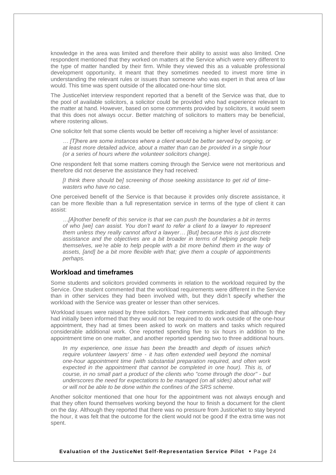knowledge in the area was limited and therefore their ability to assist was also limited. One respondent mentioned that they worked on matters at the Service which were very different to the type of matter handled by their firm. While they viewed this as a valuable professional development opportunity, it meant that they sometimes needed to invest more time in understanding the relevant rules or issues than someone who was expert in that area of law would. This time was spent outside of the allocated one-hour time slot.

The JusticeNet interview respondent reported that a benefit of the Service was that, due to the pool of available solicitors, a solicitor could be provided who had experience relevant to the matter at hand. However, based on some comments provided by solicitors, it would seem that this does not always occur. Better matching of solicitors to matters may be beneficial, where rostering allows.

One solicitor felt that some clients would be better off receiving a higher level of assistance:

*… [T]here are some instances where a client would be better served by ongoing, or at least more detailed advice, about a matter than can be provided in a single hour (or a series of hours where the volunteer solicitors change).*

One respondent felt that some matters coming through the Service were not meritorious and therefore did not deserve the assistance they had received:

*[I think there should be] screening of those seeking assistance to get rid of timewasters who have no case.*

One perceived benefit of the Service is that because it provides only discrete assistance, it can be more flexible than a full representation service in terms of the type of client it can assist:

*…[A]nother benefit of this service is that we can push the boundaries a bit in terms of who [we] can assist. You don't want to refer a client to a lawyer to represent them unless they really cannot afford a lawyer… [But] because this is just discrete assistance and the objectives are a bit broader in terms of helping people help themselves, we're able to help people with a bit more behind them in the way of assets, [and] be a bit more flexible with that; give them a couple of appointments perhaps.* 

#### <span id="page-28-0"></span>**Workload and timeframes**

Some students and solicitors provided comments in relation to the workload required by the Service. One student commented that the workload requirements were different in the Service than in other services they had been involved with, but they didn't specify whether the workload with the Service was greater or lesser than other services.

Workload issues were raised by three solicitors. Their comments indicated that although they had initially been informed that they would not be required to do work outside of the one-hour appointment, they had at times been asked to work on matters and tasks which required considerable additional work. One reported spending five to six hours in addition to the appointment time on one matter, and another reported spending two to three additional hours.

*In my experience, one issue has been the breadth and depth of issues which require volunteer lawyers' time - it has often extended well beyond the nominal one-hour appointment time (with substantial preparation required, and often work expected in the appointment that cannot be completed in one hour). This is, of course, in no small part a product of the clients who "come through the door" - but underscores the need for expectations to be managed (on all sides) about what will or will not be able to be done within the confines of the SRS scheme.*

Another solicitor mentioned that one hour for the appointment was not always enough and that they often found themselves working beyond the hour to finish a document for the client on the day. Although they reported that there was no pressure from JusticeNet to stay beyond the hour, it was felt that the outcome for the client would not be good if the extra time was not spent.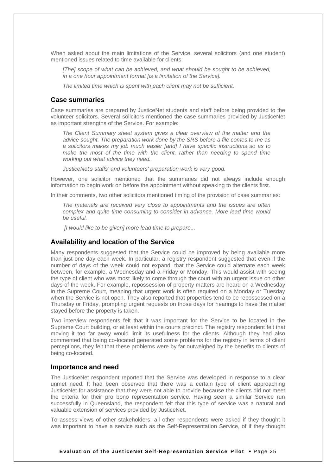When asked about the main limitations of the Service, several solicitors (and one student) mentioned issues related to time available for clients:

*[The] scope of what can be achieved, and what should be sought to be achieved, in a one hour appointment format [is a limitation of the Service].* 

*The limited time which is spent with each client may not be sufficient.*

#### <span id="page-29-0"></span>**Case summaries**

Case summaries are prepared by JusticeNet students and staff before being provided to the volunteer solicitors. Several solicitors mentioned the case summaries provided by JusticeNet as important strengths of the Service. For example:

*The Client Summary sheet system gives a clear overview of the matter and the advice sought. The preparation work done by the SRS before a file comes to me as a solicitors makes my job much easier [and] I have specific instructions so as to make the most of the time with the client, rather than needing to spend time working out what advice they need.*

*JusticeNet's staffs' and volunteers' preparation work is very good.* 

However, one solicitor mentioned that the summaries did not always include enough information to begin work on before the appointment without speaking to the clients first.

In their comments, two other solicitors mentioned timing of the provision of case summaries:

*The materials are received very close to appointments and the issues are often complex and quite time consuming to consider in advance. More lead time would be useful.* 

*[I would like to be given] more lead time to prepare...* 

#### <span id="page-29-1"></span>**Availability and location of the Service**

Many respondents suggested that the Service could be improved by being available more than just one day each week. In particular, a registry respondent suggested that even if the number of days of the week could not expand, that the Service could alternate each week between, for example, a Wednesday and a Friday or Monday. This would assist with seeing the type of client who was most likely to come through the court with an urgent issue on other days of the week. For example, repossession of property matters are heard on a Wednesday in the Supreme Court, meaning that urgent work is often required on a Monday or Tuesday when the Service is not open. They also reported that properties tend to be repossessed on a Thursday or Friday, prompting urgent requests on those days for hearings to have the matter stayed before the property is taken.

Two interview respondents felt that it was important for the Service to be located in the Supreme Court building, or at least within the courts precinct. The registry respondent felt that moving it too far away would limit its usefulness for the clients. Although they had also commented that being co-located generated some problems for the registry in terms of client perceptions, they felt that these problems were by far outweighed by the benefits to clients of being co-located.

### <span id="page-29-2"></span>**Importance and need**

The JusticeNet respondent reported that the Service was developed in response to a clear unmet need. It had been observed that there was a certain type of client approaching JusticeNet for assistance that they were not able to provide because the clients did not meet the criteria for their pro bono representation service. Having seen a similar Service run successfully in Queensland, the respondent felt that this type of service was a natural and valuable extension of services provided by JusticeNet.

To assess views of other stakeholders, all other respondents were asked if they thought it was important to have a service such as the Self-Representation Service, of if they thought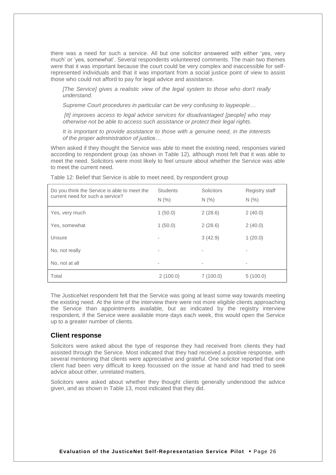there was a need for such a service. All but one solicitor answered with either 'yes, very much' or 'yes, somewhat'. Several respondents volunteered comments. The main two themes were that it was important because the court could be very complex and inaccessible for selfrepresented individuals and that it was important from a social justice point of view to assist those who could not afford to pay for legal advice and assistance.

*[The Service] gives a realistic view of the legal system to those who don't really understand.*

*Supreme Court procedures in particular can be very confusing to laypeople…*

*[It] improves access to legal advice services for disadvantaged [people] who may otherwise not be able to access such assistance or protect their legal rights.*

*It is important to provide assistance to those with a genuine need, in the interests of the proper administration of justice…*

When asked if they thought the Service was able to meet the existing need, responses varied according to respondent group (as shown in Table 12), although most felt that it was able to meet the need. Solicitors were most likely to feel unsure about whether the Service was able to meet the current need.

| Do you think the Service is able to meet the<br>current need for such a service? | <b>Students</b><br>N(% ) | Solicitors<br>N(% ) | <b>Registry staff</b><br>N(% ) |
|----------------------------------------------------------------------------------|--------------------------|---------------------|--------------------------------|
| Yes, very much                                                                   | 1(50.0)                  | 2(28.6)             | 2(40.0)                        |
| Yes, somewhat                                                                    | 1(50.0)                  | 2(28.6)             | 2(40.0)                        |
| Unsure                                                                           |                          | 3(42.9)             | 1(20.0)                        |
| No, not really                                                                   | ۰                        | ٠                   | ۰                              |
| No, not at all                                                                   | ۰                        | ٠                   | ۰                              |
| Total                                                                            | 2(100.0)                 | 7(100.0)            | 5(100.0)                       |

Table 12: Belief that Service is able to meet need, by respondent group

The JusticeNet respondent felt that the Service was going at least some way towards meeting the existing need. At the time of the interview there were not more eligible clients approaching the Service than appointments available, but as indicated by the registry interview respondent, if the Service were available more days each week, this would open the Service up to a greater number of clients.

### <span id="page-30-0"></span>**Client response**

Solicitors were asked about the type of response they had received from clients they had assisted through the Service. Most indicated that they had received a positive response, with several mentioning that clients were appreciative and grateful. One solicitor reported that one client had been very difficult to keep focussed on the issue at hand and had tried to seek advice about other, unrelated matters.

Solicitors were asked about whether they thought clients generally understood the advice given, and as shown in Table 13, most indicated that they did.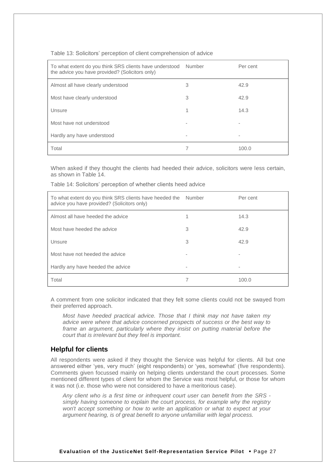| Table 13: Solicitors' perception of client comprehension of advice |  |  |  |  |
|--------------------------------------------------------------------|--|--|--|--|
|--------------------------------------------------------------------|--|--|--|--|

| To what extent do you think SRS clients have understood<br>the advice you have provided? (Solicitors only) | Number | Per cent |
|------------------------------------------------------------------------------------------------------------|--------|----------|
| Almost all have clearly understood                                                                         | 3      | 42.9     |
| Most have clearly understood                                                                               | 3      | 42.9     |
| Unsure                                                                                                     |        | 14.3     |
| Most have not understood                                                                                   |        |          |
| Hardly any have understood                                                                                 |        | -        |
| Total                                                                                                      |        | 100.0    |

When asked if they thought the clients had heeded their advice, solicitors were less certain, as shown in Table 14.

| To what extent do you think SRS clients have heeded the<br>advice you have provided? (Solicitors only) | Number | Per cent |
|--------------------------------------------------------------------------------------------------------|--------|----------|
| Almost all have heeded the advice                                                                      |        | 14.3     |
| Most have heeded the advice                                                                            | 3      | 42.9     |
| Unsure                                                                                                 | 3      | 42.9     |
| Most have not heeded the advice                                                                        |        |          |
| Hardly any have heeded the advice                                                                      | -      |          |
| Total                                                                                                  |        | 100.0    |

Table 14: Solicitors' perception of whether clients heed advice

A comment from one solicitor indicated that they felt some clients could not be swayed from their preferred approach.

*Most have heeded practical advice. Those that I think may not have taken my advice were where that advice concerned prospects of success or the best way to frame an argument, particularly where they insist on putting material before the court that is irrelevant but they feel is important.*

## <span id="page-31-0"></span>**Helpful for clients**

All respondents were asked if they thought the Service was helpful for clients. All but one answered either 'yes, very much' (eight respondents) or 'yes, somewhat' (five respondents). Comments given focussed mainly on helping clients understand the court processes. Some mentioned different types of client for whom the Service was most helpful, or those for whom it was not (i.e. those who were not considered to have a meritorious case).

*Any client who is a first time or infrequent court user can benefit from the SRS simply having someone to explain the court process, for example why the registry won't accept something or how to write an application or what to expect at your argument hearing, is of great benefit to anyone unfamiliar with legal process.*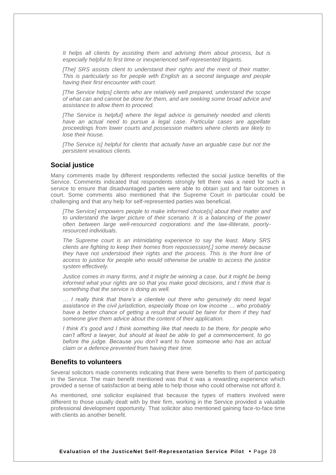*It helps all clients by assisting them and advising them about process, but is especially helpful to first time or inexperienced self-represented litigants.*

*[The] SRS assists client to understand their rights and the merit of their matter. This is particularly so for people with English as a second language and people having their first encounter with court.*

*[The Service helps] clients who are relatively well prepared, understand the scope of what can and cannot be done for them, and are seeking some broad advice and assistance to allow them to proceed.*

*[The Service is helpful] where the legal advice is genuinely needed and clients have an actual need to pursue a legal case. Particular cases are appellate proceedings from lower courts and possession matters where clients are likely to lose their house.*

[The Service is] helpful for clients that actually have an arguable case but not the *persistent vexatious clients.*

## <span id="page-32-0"></span>**Social justice**

Many comments made by different respondents reflected the social justice benefits of the Service. Comments indicated that respondents strongly felt there was a need for such a service to ensure that disadvantaged parties were able to obtain just and fair outcomes in court. Some comments also mentioned that the Supreme Court in particular could be challenging and that any help for self-represented parties was beneficial.

*[The Service] empowers people to make informed choice[s] about their matter and to understand the larger picture of their scenario. It is a balancing of the power often between large well-resourced corporations and the law-illiterate, poorlyresourced individuals.*

*The Supreme court is an intimidating experience to say the least. Many SRS clients are fighting to keep their homes from repossession[,] some merely because they have not understood their rights and the process. This is the front line of access to justice for people who would otherwise be unable to access the justice system effectively.*

*Justice comes in many forms, and it might be winning a case, but it might be being informed what your rights are so that you make good decisions, and I think that is something that the service is doing as well.*

*… I really think that there's a clientele out there who genuinely do need legal assistance in the civil jurisdiction, especially those on low income … who probably have a better chance of getting a result that would be fairer for them if they had someone give them advice about the content of their application.* 

*I think it's good and I think something like that needs to be there, for people who can't afford a lawyer, but should at least be able to get a commencement, to go before the judge. Because you don't want to have someone who has an actual claim or a defence prevented from having their time.* 

#### <span id="page-32-1"></span>**Benefits to volunteers**

Several solicitors made comments indicating that there were benefits to them of participating in the Service. The main benefit mentioned was that it was a rewarding experience which provided a sense of satisfaction at being able to help those who could otherwise not afford it.

As mentioned, one solicitor explained that because the types of matters involved were different to those usually dealt with by their firm, working in the Service provided a valuable professional development opportunity. That solicitor also mentioned gaining face-to-face time with clients as another benefit.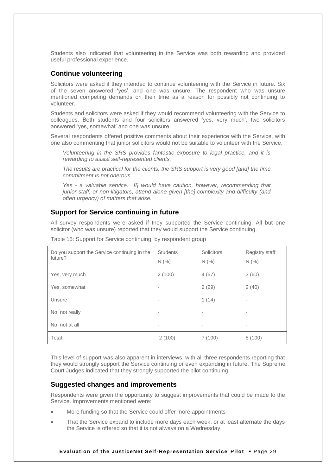Students also indicated that volunteering in the Service was both rewarding and provided useful professional experience.

## <span id="page-33-0"></span>**Continue volunteering**

Solicitors were asked if they intended to continue volunteering with the Service in future. Six of the seven answered 'yes', and one was unsure. The respondent who was unsure mentioned competing demands on their time as a reason for possibly not continuing to volunteer.

Students and solicitors were asked if they would recommend volunteering with the Service to colleagues. Both students and four solicitors answered 'yes, very much', two solicitors answered 'yes, somewhat' and one was unsure.

Several respondents offered positive comments about their experience with the Service, with one also commenting that junior solicitors would not be suitable to volunteer with the Service.

*Volunteering in the SRS provides fantastic exposure to legal practice, and it is rewarding to assist self-represented clients.*

*The results are practical for the clients, the SRS support is very good [and] the time commitment is not onerous.*

*Yes - a valuable service. [I] would have caution, however, recommending that junior staff, or non-litigators, attend alone given [the] complexity and difficulty (and often urgency) of matters that arise.*

## <span id="page-33-1"></span>**Support for Service continuing in future**

All survey respondents were asked if they supported the Service continuing. All but one solicitor (who was unsure) reported that they would support the Service continuing.

| Do you support the Service continuing in the<br>future? | <b>Students</b><br>N(% ) | <b>Solicitors</b><br>N(% ) | <b>Registry staff</b><br>N(% ) |
|---------------------------------------------------------|--------------------------|----------------------------|--------------------------------|
| Yes, very much                                          | 2(100)                   | 4(57)                      | 3(60)                          |
| Yes, somewhat                                           | ٠                        | 2(29)                      | 2(40)                          |
| Unsure                                                  | ٠                        | 1(14)                      | ٠                              |
| No, not really                                          | ٠                        | $\overline{\phantom{a}}$   | ۰                              |
| No, not at all                                          | ٠                        | $\overline{\phantom{a}}$   | ٠                              |
| Total                                                   | 2(100)                   | 7(100)                     | 5(100)                         |

Table 15: Support for Service continuing, by respondent group

This level of support was also apparent in interviews, with all three respondents reporting that they would strongly support the Service continuing or even expanding in future. The Supreme Court Judges indicated that they strongly supported the pilot continuing.

## <span id="page-33-2"></span>**Suggested changes and improvements**

Respondents were given the opportunity to suggest improvements that could be made to the Service. Improvements mentioned were:

- More funding so that the Service could offer more appointments
- That the Service expand to include more days each week, or at least alternate the days the Service is offered so that it is not always on a Wednesday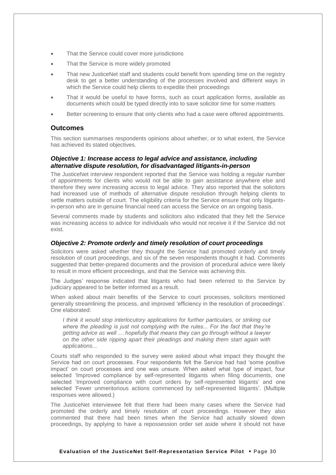- That the Service could cover more jurisdictions
- That the Service is more widely promoted
- That new JusticeNet staff and students could benefit from spending time on the registry desk to get a better understanding of the processes involved and different ways in which the Service could help clients to expedite their proceedings
- That it would be useful to have forms, such as court application forms, available as documents which could be typed directly into to save solicitor time for some matters
- Better screening to ensure that only clients who had a case were offered appointments.

#### <span id="page-34-0"></span>**Outcomes**

This section summarises respondents opinions about whether, or to what extent, the Service has achieved its stated objectives.

## *Objective 1: Increase access to legal advice and assistance, including alternative dispute resolution, for disadvantaged litigants-in-person*

The JusticeNet interview respondent reported that the Service was holding a regular number of appointments for clients who would not be able to gain assistance anywhere else and therefore they were increasing access to legal advice. They also reported that the solicitors had increased use of methods of alternative dispute resolution through helping clients to settle matters outside of court. The eligibility criteria for the Service ensure that only litigantsin-person who are in genuine financial need can access the Service on an ongoing basis.

Several comments made by students and solicitors also indicated that they felt the Service was increasing access to advice for individuals who would not receive it if the Service did not exist.

#### *Objective 2: Promote orderly and timely resolution of court proceedings*

Solicitors were asked whether they thought the Service had promoted orderly and timely resolution of court proceedings, and six of the seven respondents thought it had. Comments suggested that better-prepared documents and the provision of procedural advice were likely to result in more efficient proceedings, and that the Service was achieving this.

The Judges' response indicated that litigants who had been referred to the Service by judiciary appeared to be better informed as a result.

When asked about main benefits of the Service to court processes, solicitors mentioned generally streamlining the process, and improved 'efficiency in the resolution of proceedings'. One elaborated:

*I think it would stop interlocutory applications for further particulars, or striking out where the pleading is just not complying with the rules... For the fact that they're getting advice as well … hopefully that means they can go through without a lawyer on the other side ripping apart their pleadings and making them start again with applications...* 

Courts staff who responded to the survey were asked about what impact they thought the Service had on court processes. Four respondents felt the Service had had 'some positive impact' on court processes and one was unsure. When asked what type of impact, four selected 'Improved compliance by self-represented litigants when filing documents, one selected 'Improved compliance with court orders by self-represented litigants' and one selected 'Fewer unmeritorious actions commenced by self-represented litigants'. (Multiple responses were allowed.)

The JusticeNet interviewee felt that there had been many cases where the Service had promoted the orderly and timely resolution of court proceedings. However they also commented that there had been times when the Service had actually slowed down proceedings, by applying to have a repossession order set aside where it should not have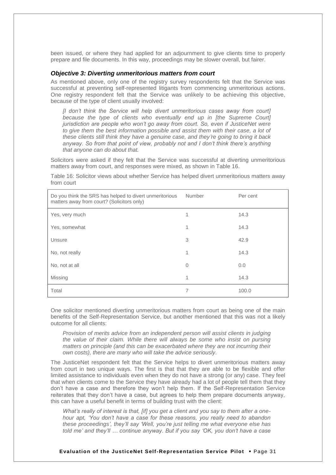been issued, or where they had applied for an adjournment to give clients time to properly prepare and file documents. In this way, proceedings may be slower overall, but fairer.

## *Objective 3: Diverting unmeritorious matters from court*

As mentioned above, only one of the registry survey respondents felt that the Service was successful at preventing self-represented litigants from commencing unmeritorious actions. One registry respondent felt that the Service was unlikely to be achieving this objective, because of the type of client usually involved:

*[I don't think the Service will help divert unmeritorious cases away from court] because the type of clients who eventually end up in [the Supreme Court] jurisdiction are people who won't go away from court. So, even if JusticeNet were*  to give them the best information possible and assist them with their case, a lot of *these clients still think they have a genuine case, and they're going to bring it back anyway. So from that point of view, probably not and I don't think there's anything that anyone can do about that.*

Solicitors were asked if they felt that the Service was successful at diverting unmeritorious matters away from court, and responses were mixed, as shown in Table 16.

Table 16: Solicitor views about whether Service has helped divert unmeritorious matters away from court

| Do you think the SRS has helped to divert unmeritorious<br>matters away from court? (Solicitors only) | Number   | Per cent |
|-------------------------------------------------------------------------------------------------------|----------|----------|
| Yes, very much                                                                                        | 1        | 14.3     |
| Yes, somewhat                                                                                         | 1        | 14.3     |
| Unsure                                                                                                | 3        | 42.9     |
| No, not really                                                                                        | 1        | 14.3     |
| No, not at all                                                                                        | $\Omega$ | 0.0      |
| Missing                                                                                               | 1        | 14.3     |
| Total                                                                                                 | 7        | 100.0    |

One solicitor mentioned diverting unmeritorious matters from court as being one of the main benefits of the Self-Representation Service, but another mentioned that this was not a likely outcome for all clients:

*Provision of merits advice from an independent person will assist clients in judging the value of their claim. While there will always be some who insist on pursing matters on principle (and this can be exacerbated where they are not incurring their own costs), there are many who will take the advice seriously.*

The JusticeNet respondent felt that the Service helps to divert unmeritorious matters away from court in two unique ways. The first is that that they are able to be flexible and offer limited assistance to individuals even when they do not have a strong (or any) case. They feel that when clients come to the Service they have already had a lot of people tell them that they don't have a case and therefore they won't help them. If the Self-Representation Service reiterates that they don't have a case, but agrees to help them prepare documents anyway, this can have a useful benefit in terms of building trust with the client:

*What's really of interest is that, [if] you get a client and you say to them after a onehour apt, 'You don't have a case for these reasons, you really need to abandon these proceedings', they'll say 'Well, you're just telling me what everyone else has told me' and they'll … continue anyway. But if you say 'OK, you don't have a case*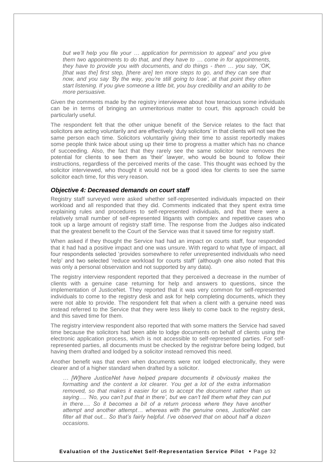*but we'll help you file your … application for permission to appeal' and you give them two appointments to do that, and they have to … come in for appointments, they have to provide you with documents, and do things - then … you say, 'OK, [that was the] first step, [there are] ten more steps to go, and they can see that now, and you say 'By the way, you're still going to lose', at that point they often start listening. If you give someone a little bit, you buy credibility and an ability to be more persuasive.* 

Given the comments made by the registry interviewee about how tenacious some individuals can be in terms of bringing an unmeritorious matter to court, this approach could be particularly useful.

The respondent felt that the other unique benefit of the Service relates to the fact that solicitors are acting voluntarily and are effectively 'duty solicitors' in that clients will not see the same person each time. Solicitors voluntarily giving their time to assist reportedly makes some people think twice about using up their time to progress a matter which has no chance of succeeding. Also, the fact that they rarely see the same solicitor twice removes the potential for clients to see them as 'their' lawyer, who would be bound to follow their instructions, regardless of the perceived merits of the case. This thought was echoed by the solicitor interviewed, who thought it would not be a good idea for clients to see the same solicitor each time, for this very reason.

#### *Objective 4: Decreased demands on court staff*

Registry staff surveyed were asked whether self-represented individuals impacted on their workload and all responded that they did. Comments indicated that they spent extra time explaining rules and procedures to self-represented individuals, and that there were a relatively small number of self-represented litigants with complex and repetitive cases who took up a large amount of registry staff time. The response from the Judges also indicated that the greatest benefit to the Court of the Service was that it saved time for registry staff.

When asked if they thought the Service had had an impact on courts staff, four responded that it had had a positive impact and one was unsure. With regard to what type of impact, all four respondents selected 'provides somewhere to refer unrepresented individuals who need help' and two selected 'reduce workload for courts staff' (although one also noted that this was only a personal observation and not supported by any data).

The registry interview respondent reported that they perceived a decrease in the number of clients with a genuine case returning for help and answers to questions, since the implementation of JusticeNet. They reported that it was very common for self-represented individuals to come to the registry desk and ask for help completing documents, which they were not able to provide. The respondent felt that when a client with a genuine need was instead referred to the Service that they were less likely to come back to the registry desk, and this saved time for them.

The registry interview respondent also reported that with some matters the Service had saved time because the solicitors had been able to lodge documents on behalf of clients using the electronic application process, which is not accessible to self-represented parties. For selfrepresented parties, all documents must be checked by the registrar before being lodged, but having them drafted and lodged by a solicitor instead removed this need.

Another benefit was that even when documents were not lodged electronically, they were clearer and of a higher standard when drafted by a solicitor.

*… [W]here JusticeNet have helped prepare documents it obviously makes the formatting and the content a lot clearer. You get a lot of the extra information removed, so that makes it easier for us to accept the document rather than us saying…. 'No, you can't put that in there', but we can't tell them what they can put in there…. So it becomes a bit of a return process where they have another attempt and another attempt… whereas with the genuine ones, JusticeNet can filter all that out... So that's fairly helpful. I've observed that on about half a dozen occasions.*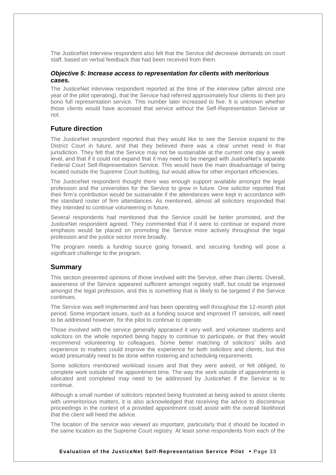The JusticeNet interview respondent also felt that the Service did decrease demands on court staff, based on verbal feedback that had been received from them.

#### *Objective 5: Increase access to representation for clients with meritorious cases.*

The JusticeNet interview respondent reported at the time of the interview (after almost one year of the pilot operating), that the Service had referred approximately four clients to their pro bono full representation service. This number later increased to five. It is unknown whether those clients would have accessed that service without the Self-Representation Service or not.

## <span id="page-37-0"></span>**Future direction**

The JusticeNet respondent reported that they would like to see the Service expand to the District Court in future, and that they believed there was a clear unmet need in that jurisdiction. They felt that the Service may not be sustainable at the current one day a week level, and that if it could not expand that it may need to be merged with JusticeNet's separate Federal Court Self-Representation Service. This would have the main disadvantage of being located outside the Supreme Court building, but would allow for other important efficiencies.

The JusticeNet respondent thought there was enough support available amongst the legal profession and the universities for the Service to grow in future. One solicitor reported that their firm's contribution would be sustainable if the attendances were kept in accordance with the standard roster of firm attendances. As mentioned, almost all solicitors responded that they intended to continue volunteering in future.

Several respondents had mentioned that the Service could be better promoted, and the JusticeNet respondent agreed. They commented that if it were to continue or expand more emphasis would be placed on promoting the Service more actively throughout the legal profession and the justice sector more broadly.

The program needs a funding source going forward, and securing funding will pose a significant challenge to the program.

#### <span id="page-37-1"></span>**Summary**

This section presented opinions of those involved with the Service, other than clients. Overall, awareness of the Service appeared sufficient amongst registry staff, but could be improved amongst the legal profession, and this is something that is likely to be targeted if the Service continues.

The Service was well implemented and has been operating well throughout the 12-month pilot period. Some important issues, such as a funding source and improved IT services, will need to be addressed however, for the pilot to continue to operate.

Those involved with the service generally appraised it very well, and volunteer students and solicitors on the whole reported being happy to continue to participate, or that they would recommend volunteering to colleagues. Some better matching of solicitors' skills and experience to matters could improve the experience for both solicitors and clients, but this would presumably need to be done within rostering and scheduling requirements.

Some solicitors mentioned workload issues and that they were asked, or felt obliged, to complete work outside of the appointment time. The way the work outside of appointments is allocated and completed may need to be addressed by JusticeNet if the Service is to continue.

Although a small number of solicitors reported being frustrated at being asked to assist clients with unmeritorious matters, it is also acknowledged that receiving the advice to discontinue proceedings in the context of a provided appointment could assist with the overall likelihood that the client will heed the advice.

The location of the service was viewed as important, particularly that it should be located in the same location as the Supreme Court registry. At least some respondents from each of the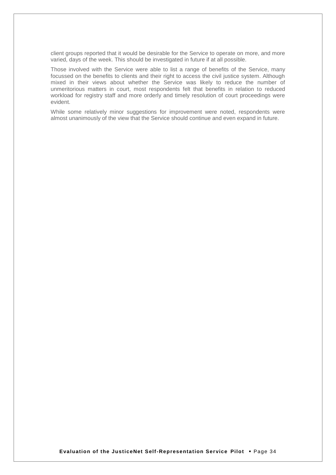client groups reported that it would be desirable for the Service to operate on more, and more varied, days of the week. This should be investigated in future if at all possible.

Those involved with the Service were able to list a range of benefits of the Service, many focussed on the benefits to clients and their right to access the civil justice system. Although mixed in their views about whether the Service was likely to reduce the number of unmeritorious matters in court, most respondents felt that benefits in relation to reduced workload for registry staff and more orderly and timely resolution of court proceedings were evident.

While some relatively minor suggestions for improvement were noted, respondents were almost unanimously of the view that the Service should continue and even expand in future.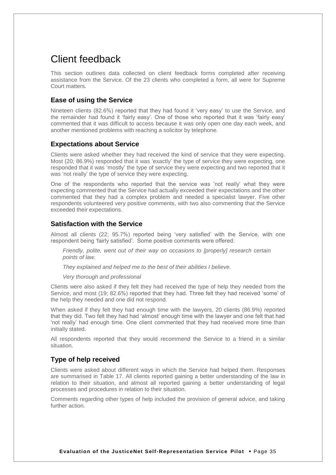## <span id="page-39-0"></span>Client feedback

This section outlines data collected on client feedback forms completed after receiving assistance from the Service. Of the 23 clients who completed a form, all were for Supreme Court matters.

## <span id="page-39-1"></span>**Ease of using the Service**

Nineteen clients (82.6%) reported that they had found it 'very easy' to use the Service, and the remainder had found it 'fairly easy'. One of those who reported that it was 'fairly easy' commented that it was difficult to access because it was only open one day each week, and another mentioned problems with reaching a solicitor by telephone.

## <span id="page-39-2"></span>**Expectations about Service**

Clients were asked whether they had received the kind of service that they were expecting. Most (20; 86.9%) responded that it was 'exactly' the type of service they were expecting, one responded that it was 'mostly' the type of service they were expecting and two reported that it was 'not really' the type of service they were expecting.

One of the respondents who reported that the service was 'not really' what they were expecting commented that the Service had actually exceeded their expectations and the other commented that they had a complex problem and needed a specialist lawyer. Five other respondents volunteered very positive comments, with two also commenting that the Service exceeded their expectations.

## <span id="page-39-3"></span>**Satisfaction with the Service**

Almost all clients (22; 95.7%) reported being 'very satisfied' with the Service, with one respondent being 'fairly satisfied'. Some positive comments were offered:

*Friendly, polite, went out of their way on occasions to [properly] research certain points of law.*

*They explained and helped me to the best of their abilities I believe.*

*Very thorough and professional*

Clients were also asked if they felt they had received the type of help they needed from the Service, and most (19; 82.6%) reported that they had. Three felt they had received 'some' of the help they needed and one did not respond.

When asked if they felt they had enough time with the lawyers, 20 clients (86.9%) reported that they did. Two felt they had had 'almost' enough time with the lawyer and one felt that had 'not really' had enough time. One client commented that they had received more time than initially stated.

All respondents reported that they would recommend the Service to a friend in a similar situation.

## <span id="page-39-4"></span>**Type of help received**

Clients were asked about different ways in which the Service had helped them. Responses are summarised in Table 17. All clients reported gaining a better understanding of the law in relation to their situation, and almost all reported gaining a better understanding of legal processes and procedures in relation to their situation.

Comments regarding other types of help included the provision of general advice, and taking further action.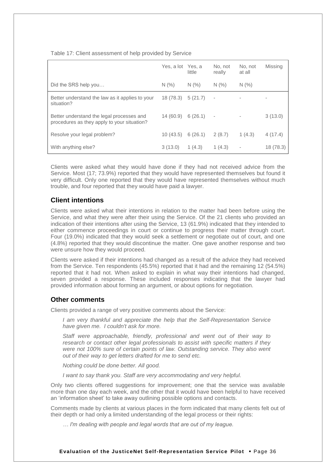|                                                                                          | Yes, a lot | Yes, a<br>little | No. not<br>really        | No, not<br>at all | Missing   |
|------------------------------------------------------------------------------------------|------------|------------------|--------------------------|-------------------|-----------|
| Did the SRS help you                                                                     | N(% )      | N(% )            | N(% )                    | N(% )             |           |
| Better understand the law as it applies to your<br>situation?                            | 18 (78.3)  | 5(21.7)          | $\overline{\phantom{a}}$ |                   |           |
| Better understand the legal processes and<br>procedures as they apply to your situation? | 14(60.9)   | 6(26.1)          | $\overline{\phantom{a}}$ |                   | 3(13.0)   |
| Resolve your legal problem?                                                              | 10(43.5)   | 6(26.1)          | 2(8.7)                   | 1(4.3)            | 4(17.4)   |
| With anything else?                                                                      | 3(13.0)    | 1(4.3)           | 1(4.3)                   |                   | 18 (78.3) |

## Table 17: Client assessment of help provided by Service

Clients were asked what they would have done if they had not received advice from the Service. Most (17; 73.9%) reported that they would have represented themselves but found it very difficult. Only one reported that they would have represented themselves without much trouble, and four reported that they would have paid a lawyer.

## <span id="page-40-0"></span>**Client intentions**

Clients were asked what their intentions in relation to the matter had been before using the Service, and what they were after their using the Service. Of the 21 clients who provided an indication of their intentions after using the Service, 13 (61.9%) indicated that they intended to either commence proceedings in court or continue to progress their matter through court. Four (19.0%) indicated that they would seek a settlement or negotiate out of court, and one (4.8%) reported that they would discontinue the matter. One gave another response and two were unsure how they would proceed.

Clients were asked if their intentions had changed as a result of the advice they had received from the Service. Ten respondents (45.5%) reported that it had and the remaining 12 (54.5%) reported that it had not. When asked to explain in what way their intentions had changed, seven provided a response. These included responses indicating that the lawyer had provided information about forming an argument, or about options for negotiation.

## <span id="page-40-1"></span>**Other comments**

Clients provided a range of very positive comments about the Service:

*I am very thankful and appreciate the help that the Self-Representation Service have given me. I couldn't ask for more.*

*Staff were approachable, friendly, professional and went out of their way to research or contact other legal professionals to assist with specific matters if they were not 100% sure of certain points of law. Outstanding service. They also went out of their way to get letters drafted for me to send etc.*

*Nothing could be done better. All good.*

*I want to say thank you. Staff are very accommodating and very helpful.*

Only two clients offered suggestions for improvement; one that the service was available more than one day each week, and the other that it would have been helpful to have received an 'information sheet' to take away outlining possible options and contacts.

Comments made by clients at various places in the form indicated that many clients felt out of their depth or had only a limited understanding of the legal process or their rights:

*… I'm dealing with people and legal words that are out of my league.*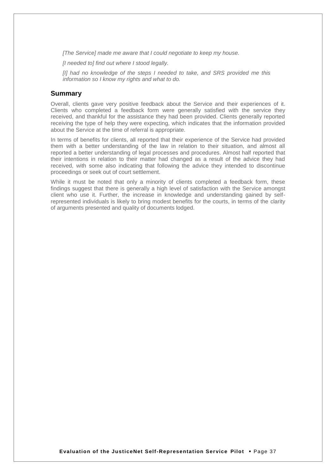*[The Service] made me aware that I could negotiate to keep my house.*

*[I needed to] find out where I stood legally.*

*[I] had no knowledge of the steps I needed to take, and SRS provided me this information so I know my rights and what to do.*

## <span id="page-41-0"></span>**Summary**

Overall, clients gave very positive feedback about the Service and their experiences of it. Clients who completed a feedback form were generally satisfied with the service they received, and thankful for the assistance they had been provided. Clients generally reported receiving the type of help they were expecting, which indicates that the information provided about the Service at the time of referral is appropriate.

In terms of benefits for clients, all reported that their experience of the Service had provided them with a better understanding of the law in relation to their situation, and almost all reported a better understanding of legal processes and procedures. Almost half reported that their intentions in relation to their matter had changed as a result of the advice they had received, with some also indicating that following the advice they intended to discontinue proceedings or seek out of court settlement.

While it must be noted that only a minority of clients completed a feedback form, these findings suggest that there is generally a high level of satisfaction with the Service amongst client who use it. Further, the increase in knowledge and understanding gained by selfrepresented individuals is likely to bring modest benefits for the courts, in terms of the clarity of arguments presented and quality of documents lodged.